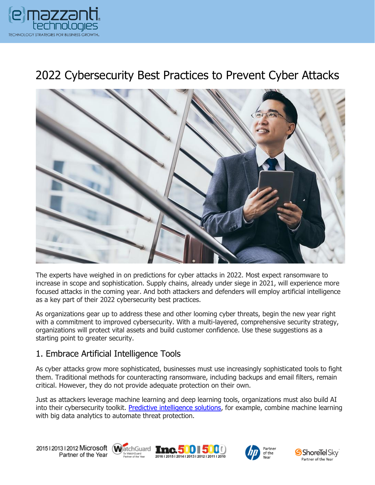

# 2022 Cybersecurity Best Practices to Prevent Cyber Attacks



The experts have weighed in on predictions for cyber attacks in 2022. Most expect ransomware to increase in scope and sophistication. Supply chains, already under siege in 2021, will experience more focused attacks in the coming year. And both attackers and defenders will employ artificial intelligence as a key part of their 2022 cybersecurity best practices.

As organizations gear up to address these and other looming cyber threats, begin the new year right with a commitment to improved cybersecurity. With a multi-layered, comprehensive security strategy, organizations will protect vital assets and build customer confidence. Use these suggestions as a starting point to greater security.

#### 1. Embrace Artificial Intelligence Tools

As cyber attacks grow more sophisticated, businesses must use increasingly sophisticated tools to fight them. Traditional methods for counteracting ransomware, including backups and email filters, remain critical. However, they do not provide adequate protection on their own.

Just as attackers leverage machine learning and deep learning tools, organizations must also build AI into their cybersecurity toolkit. [Predictive intelligence solutions,](https://www.emazzanti.net/ecare-secure-route/) for example, combine machine learning with big data analytics to automate threat protection.









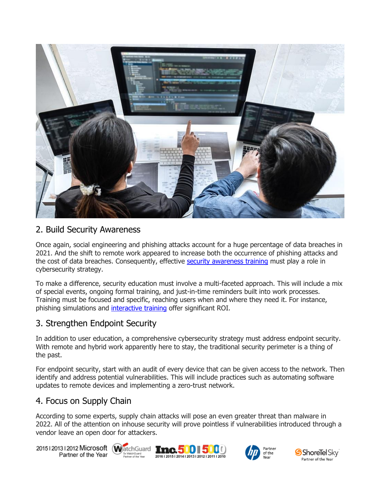

#### 2. Build Security Awareness

Once again, social engineering and phishing attacks account for a huge percentage of data breaches in 2021. And the shift to remote work appeared to increase both the occurrence of phishing attacks and the cost of data breaches. Consequently, effective [security awareness training](https://messagingarchitects.com/effective-cyber-security-training/) must play a role in cybersecurity strategy.

To make a difference, security education must involve a multi-faceted approach. This will include a mix of special events, ongoing formal training, and just-in-time reminders built into work processes. Training must be focused and specific, reaching users when and where they need it. For instance, phishing simulations and [interactive training](https://www.emazzanti.net/targeted-security-awareness-training/) offer significant ROI.

#### 3. Strengthen Endpoint Security

In addition to user education, a comprehensive cybersecurity strategy must address endpoint security. With remote and hybrid work apparently here to stay, the traditional security perimeter is a thing of the past.

For endpoint security, start with an audit of every device that can be given access to the network. Then identify and address potential vulnerabilities. This will include practices such as automating software updates to remote devices and implementing a zero-trust network.

## 4. Focus on Supply Chain

According to some experts, supply chain attacks will pose an even greater threat than malware in 2022. All of the attention on inhouse security will prove pointless if vulnerabilities introduced through a vendor leave an open door for attackers.

20151201312012 Microsoft WatchGuard Tnc. 500 500 Partner of the Year